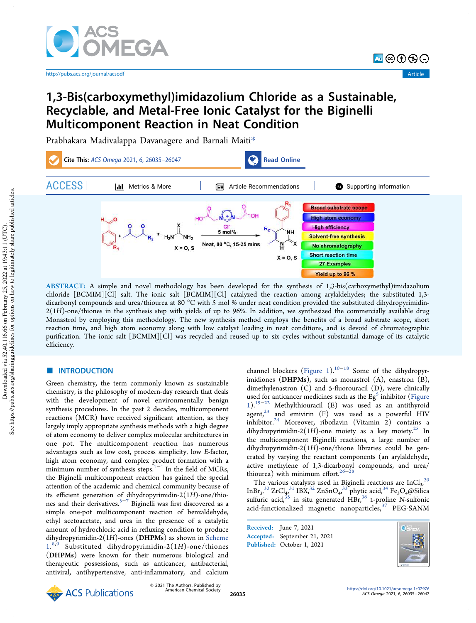

http://pubs.acs.org/journal/acsodf Article

न⊜⊕⊕⊜

# 1,3-Bis(carboxymethyl)imidazolium Chloride as a Sustainable, Recyclable, and Metal-Free Ionic Catalyst for the Biginelli Multicomponent Reaction in Neat Condition

Prabhakara Madivalappa Davanagere and Barnali Maiti\*



ABSTRACT: A simple and novel methodology has been developed for the synthesis of 1,3-bis(carboxymethyl)imidazolium chloride [BCMIM][Cl] salt. The ionic salt [BCMIM][Cl] catalyzed the reaction among arylaldehydes; the substituted 1,3 dicarbonyl compounds and urea/thiourea at 80 °C with 5 mol % under neat condition provided the substituted dihydropyrimidin-2(1*H*)-one/thiones in the synthesis step with yields of up to 96%. In addition, we synthesized the commercially available drug Monastrol by employing this methodology. The new synthesis method employs the benefits of a broad substrate scope, short reaction time, and high atom economy along with low catalyst loading in neat conditions, and is devoid of chromatographic purification. The ionic salt [BCMIM][Cl] was recycled and reused up to six cycles without substantial damage of its catalytic efficiency.

# ■ INTRODUCTION

Green chemistry, the term commonly known as sustainable chemistry, is the philosophy of modern-day research that deals with the development of novel environmentally benign synthesis procedures. In the past 2 decades, multicomponent reactions (MCR) have received significant attention, as they largely imply appropriate synthesis methods with a high degree of atom economy to deliver complex molecular architectures in one pot. The multicomponent reaction has numerous advantages such as low cost, process simplicity, low *E*-factor, high atom economy, and complex product formation with a minimum number of synthesis steps.<sup>1–4</sup> In the field of MCRs, the Biginelli multicomponent reaction has gained the special attention of the academic and chemical community because of its efficient generation of dihydropyrimidin-2(1*H*)-one/thiones and their derivatives.<sup>5−7</sup> Biginelli was first discovered as a simple one-pot multicomponent reaction of benzaldehyde, ethyl acetoacetate, and urea in the presence of a catalytic amount of hydrochloric acid in refluxing condition to produce dihydropyrimidin-2(1*H*)-ones (DHPMs) as shown in Scheme 1. 8,9 Substituted dihydropyrimidin-2(1*H*)-one/thiones (DHPMs) were known for their numerous biological and therapeutic possessions, such as anticancer, antibacterial, antiviral, antihypertensive, anti-inflammatory, and calcium channel blockers (Figure 1).10−<sup>18</sup> Some of the dihydropyrimidiones (DHPMs), such as monastrol (A), enastron (B), dimethylenastron (C) and 5-fluorouracil (D), were clinically used for anticancer medicines such as the  $\mathrm{Eg}^{5}$  inhibitor (Figure 1).19−<sup>22</sup> Methylthiouracil (E) was used as an antithyroid  $a$ gent, $23$  and emivirin (F) was used as a powerful HIV inhibitor.<sup>24</sup> Moreover, riboflavin (Vitamin 2) contains a dihydropyrimidin-2(1*H*)-one moiety as a key moiety.<sup>25</sup> In the multicomponent Biginelli reactions, a large number of dihydropyrimidin-2(1*H*)-one/thione libraries could be generated by varying the reactant components (an arylaldehyde, active methylene of 1,3-dicarbonyl compounds, and urea/<br>thiourea) with minimum effort.<sup>26–28</sup>

The various catalysts used in Biginelli reactions are  $InCl<sub>3</sub>^{29}$ InBr<sub>3</sub>,<sup>30</sup> ZrCl<sub>4</sub>,<sup>31</sup> IBX,<sup>32</sup> ZnSnO<sub>4</sub>,<sup>33</sup> phytic acid,<sup>34</sup> Fe<sub>3</sub>O<sub>4</sub>@Silica sulfuric acid,<sup>35</sup> in situ generated HBr,<sup>36</sup> L-proline N-sulfonic acid-functionalized magnetic nanoparticles, $37$  PEG-SANM

Received: June 7, 2021 Accepted: September 21, 2021 Published: October 1, 2021



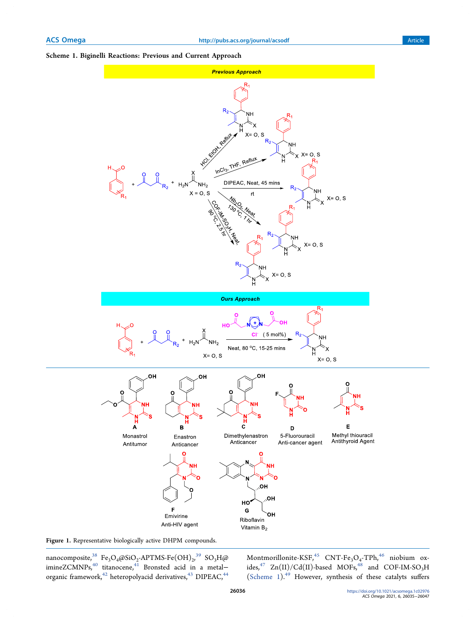## Scheme 1. Biginelli Reactions: Previous and Current Approach



Figure 1. Representative biologically active DHPM compounds.

nanocomposite, $^{38}$  Fe<sub>3</sub>O<sub>4</sub>@SiO<sub>2</sub>-APTMS-Fe ${\rm (OH)_2}^{39}$  SO<sub>3</sub>H@ imineZCMNPs, $^{40}$  titanocene, $^{41}$  Bronsted acid in a metal− organic framework,  $^{42}$  heteropolyacid derivatives,  $^{43}$  DIPEAC,  $^{44}$ 

Montmorillonite-KSF, $^{45}$  CNT-Fe<sub>3</sub>O<sub>4</sub>-TPh, $^{46}$  niobium oxides, $^{47}$  Zn(II)/Cd(II)-based MOFs, $^{48}$  and COF-IM-SO<sub>3</sub>H (Scheme 1).<sup>49</sup> However, synthesis of these catalyts suffers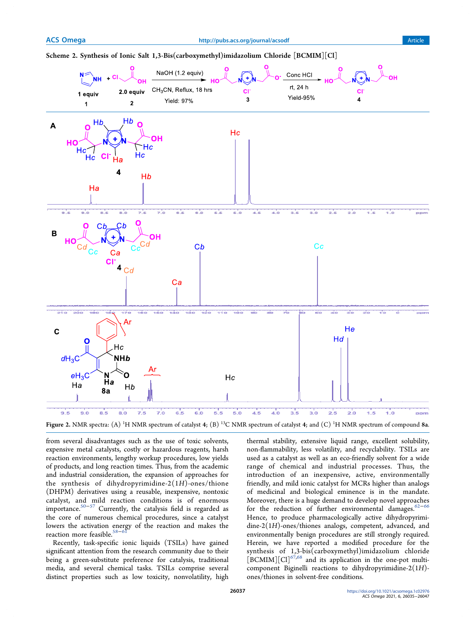# Scheme 2. Synthesis of Ionic Salt 1,3-Bis(carboxymethyl)imidazolium Chloride [BCMIM][Cl]



from several disadvantages such as the use of toxic solvents, expensive metal catalysts, costly or hazardous reagents, harsh reaction environments, lengthy workup procedures, low yields of products, and long reaction times. Thus, from the academic and industrial consideration, the expansion of approaches for the synthesis of dihydropyrimidine-2(1*H*)-ones/thione (DHPM) derivatives using a reusable, inexpensive, nontoxic catalyst, and mild reaction conditions is of enormous importance. $50-57$  Currently, the catalysis field is regarded as the core of numerous chemical procedures, since a catalyst lowers the activation energy of the reaction and makes the reaction more feasible.<sup>58-6</sup>

Recently, task-specific ionic liquids (TSILs) have gained significant attention from the research community due to their being a green-substitute preference for catalysis, traditional media, and several chemical tasks. TSILs comprise several distinct properties such as low toxicity, nonvolatility, high

thermal stability, extensive liquid range, excellent solubility, non-flammability, less volatility, and recyclability. TSILs are used as a catalyst as well as an eco-friendly solvent for a wide range of chemical and industrial processes. Thus, the introduction of an inexpensive, active, environmentally friendly, and mild ionic catalyst for MCRs higher than analogs of medicinal and biological eminence is in the mandate. Moreover, there is a huge demand to develop novel approaches for the reduction of further environmental damages. $62-66$ Hence, to produce pharmacologically active dihydropyrimidine-2(1*H*)-ones/thiones analogs, competent, advanced, and environmentally benign procedures are still strongly required. Herein, we have reported a modified procedure for the synthesis of 1,3-bis(carboxymethyl)imidazolium chloride  $[\text{BCMIM}][\text{Cl}]^{67,68}$  and its application in the one-pot multicomponent Biginelli reactions to dihydropyrimidine-2(1*H*) ones/thiones in solvent-free conditions.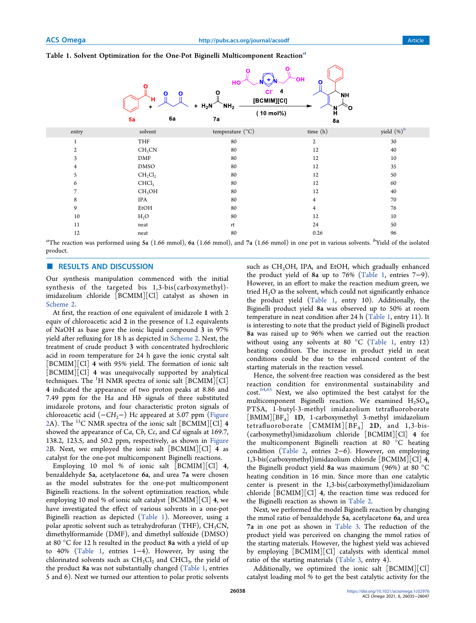## Table 1. Solvent Optimization for the One-Pot Biginelli Multicomponent Reaction<sup>6</sup>



| entry | solvent            | temperature $({}^{\circ}C)$ | time (h) | yield $(\%)^b$ |
|-------|--------------------|-----------------------------|----------|----------------|
|       | THF                | 80                          | 2        | 30             |
| 2     | CH <sub>3</sub> CN | 80                          | 12       | 40             |
| 3     | DMF                | 80                          | 12       | 10             |
| 4     | <b>DMSO</b>        | 80                          | 12       | 35             |
|       | $CH_2Cl_2$         | 80                          | 12       | 50             |
| 6     | CHCl <sub>3</sub>  | 80                          | 12       | 60             |
|       | CH <sub>3</sub> OH | 80                          | 12       | 40             |
| 8     | IPA                | 80                          | 4        | 70             |
| 9     | EtOH               | 80                          | 4        | 76             |
| 10    | $H_2O$             | 80                          | 12       | 10             |
| 11    | neat               | rt                          | 24       | 50             |
| 12    | neat               | 80                          | 0.26     | 96             |

*a* The reaction was performed using 5a (1.66 mmol), 6a (1.66 mmol), and 7a (1.66 mmol) in one pot in various solvents. *b* Yield of the isolated product.

#### ■ RESULTS AND DISCUSSION

Our synthesis manipulation commenced with the initial synthesis of the targeted bis 1,3-bis(carboxymethyl) imidazolium chloride [BCMIM][Cl] catalyst as shown in Scheme 2.

At first, the reaction of one equivalent of imidazole 1 with 2 equiv of chloroacetic acid 2 in the presence of 1.2 equivalents of NaOH as base gave the ionic liquid compound 3 in 97% yield after refluxing for 18 h as depicted in Scheme 2. Next, the treatment of crude product 3 with concentrated hydrochloric acid in room temperature for 24 h gave the ionic crystal salt [BCMIM][Cl] 4 with 95% yield. The formation of ionic salt [BCMIM][Cl] 4 was unequivocally supported by analytical techniques. The  ${}^{1}H$  NMR spectra of ionic salt [BCMIM][Cl] 4 indicated the appearance of two proton peaks at 8.86 and 7.49 ppm for the H*a* and H*b* signals of three substituted imidazole protons, and four characteristic proton signals of chloroacetic acid (−*CH*<sub>2</sub>−) Hc appeared at 5.07 ppm (Figure 2A). The <sup>13</sup>C NMR spectra of the ionic salt [BCMIM][Cl] 4 showed the appearance of C*a*, C*b*, C*c*, and C*d* signals at 169.7, 138.2, 123.5, and 50.2 ppm, respectively, as shown in Figure 2B. Next, we employed the ionic salt [BCMIM][Cl] 4 as catalyst for the one-pot multicomponent Biginelli reactions.

Employing 10 mol % of ionic salt [BCMIM][Cl] 4, benzaldehyde 5a, acetylacetone 6a, and urea 7a were chosen as the model substrates for the one-pot multicomponent Biginelli reactions. In the solvent optimization reaction, while employing 10 mol % of ionic salt catalyst [BCMIM][Cl] 4, we have investigated the effect of various solvents in a one-pot Biginelli reaction as depicted (Table 1). Moreover, using a polar aprotic solvent such as tetrahydrofuran (THF),  $CH<sub>3</sub>CN$ , dimethylformamide (DMF), and dimethyl sulfoxide (DMSO) at 80 °C for 12 h resulted in the product 8a with a yield of up to 40% (Table 1, entries 1−4). However, by using the chlorinated solvents such as  $\mathrm{CH}_2\mathrm{Cl}_2$  and  $\mathrm{CHCl}_3$ , the yield of the product 8a was not substantially changed (Table 1, entries 5 and 6). Next we turned our attention to polar protic solvents

such as CH<sub>3</sub>OH, IPA, and EtOH, which gradually enhanced the product yield of 8a up to 76% (Table 1, entries 7−9). However, in an effort to make the reaction medium green, we tried  $H<sub>2</sub>O$  as the solvent, which could not significantly enhance the product yield (Table 1, entry 10). Additionally, the Biginelli product yield 8a was observed up to 50% at room temperature in neat condition after 24 h (Table 1, entry 11). It is interesting to note that the product yield of Biginelli product 8a was raised up to 96% when we carried out the reaction without using any solvents at 80  $^{\circ}$ C (Table 1, entry 12) heating condition. The increase in product yield in neat conditions could be due to the enhanced content of the starting materials in the reaction vessel.

Hence, the solvent-free reaction was considered as the best reaction condition for environmental sustainability and cost.64,65 Next, we also optimized the best catalyst for the multicomponent Biginelli reaction. We examined  $H_2SO_4$ , PTSA, 1-butyl-3-methyl imidazolium tetrafluoroborate [BMIM][BF<sup>4</sup> ] 1D, 1-carboxymethyl 3-methyl imidazolium tetrafluoroborate  $[CMMM][BF<sub>4</sub>]$  2D, and 1,3-bis-(carboxymethyl)imidazolium chloride [BCMIM][Cl] 4 for the multicomponent Biginelli reaction at 80 °C heating condition (Table 2, entries 2−6). However, on employing 1,3-bis(carboxymethyl)imidazolium chloride [BCMIM][Cl] 4, the Biginelli product yield 8a was maximum (96%) at 80 °C heating condition in 16 min. Since more than one catalytic center is present in the 1,3-bis(carboxymethyl)imidazolium chloride [BCMIM][Cl] 4, the reaction time was reduced for the Biginelli reaction as shown in Table 2.

Next, we performed the model Biginelli reaction by changing the mmol ratio of benzaldehyde 5a, acetylacetone 6a, and urea 7a in one pot as shown in Table 3. The reduction of the product yield was perceived on changing the mmol ratios of the starting materials. However, the highest yield was achieved by employing [BCMIM][Cl] catalysts with identical mmol ratio of the starting materials (Table 3, entry 4).

Additionally, we optimized the ionic salt [BCMIM][Cl] catalyst loading mol % to get the best catalytic activity for the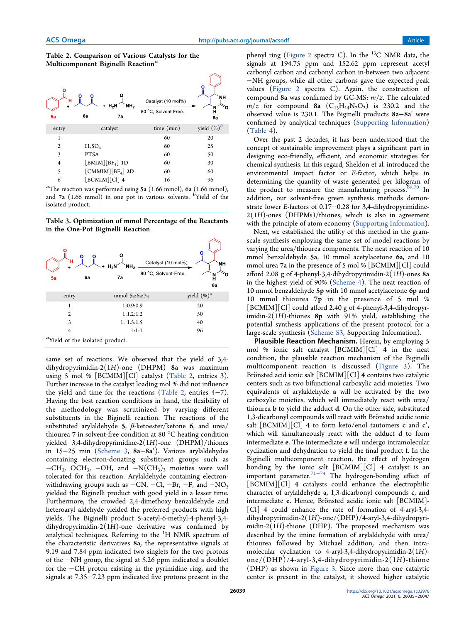### Table 2. Comparison of Various Catalysts for the Multicomponent Biginelli Reaction<sup>a</sup>



<sup>a</sup>The reaction was performed using  $5a$  (1.66 mmol),  $6a$  (1.66 mmol), and 7a (1.66 mmol) in one pot in various solvents. <sup>*b*</sup>Yield of the isolated product.

Table 3. Optimization of mmol Percentage of the Reactants in the One-Pot Biginelli Reaction



same set of reactions. We observed that the yield of 3,4 dihydropyrimidin-2(1*H*)-one (DHPM) 8a was maximum using 5 mol % [BCMIM][Cl] catalyst (Table 2, entries 3). Further increase in the catalyst loading mol % did not influence the yield and time for the reactions (Table 2, entries 4−7). Having the best reaction conditions in hand, the flexibility of the methodology was scrutinized by varying different substituents in the Biginelli reaction. The reactions of the substituted arylaldehyde 5,  $\beta$ -ketoester/ketone 6, and urea/ thiourea 7 in solvent-free condition at 80 °C heating condition yielded 3,4-dihydropyrimidine-2(1*H*)-one (DHPM)/thiones in 15−25 min (Scheme 3, 8a−8a′). Various arylaldehydes containing electron-donating substituent groups such as  $-CH_3$ , OCH<sub>3</sub>, -OH, and  $-N(CH_3)_2$  moieties were well tolerated for this reaction. Arylaldehyde containing electronwithdrawing groups such as  $-CN$ ,  $-Cl$ ,  $-Br$ ,  $-F$ , and  $-NO<sub>2</sub>$ yielded the Biginelli product with good yield in a lesser time. Furthermore, the crowded 2,4-dimethoxy benzaldehyde and heteroaryl aldehyde yielded the preferred products with high yields. The Biginelli product 5-acetyl-6-methyl-4-phenyl-3,4 dihydropyrimidin-2(1*H*)-one derivative was confirmed by analytical techniques. Referring to the  ${}^{1}H$  NMR spectrum of the characteristic derivatives 8a, the representative signals at 9.19 and 7.84 ppm indicated two singlets for the two protons of the −NH group, the signal at 5.26 ppm indicated a doublet for the −CH proton existing in the pyrimidine ring, and the signals at 7.35−7.23 ppm indicated five protons present in the

phenyl ring (Figure 2 spectra C). In the  $^{13}$ C NMR data, the signals at 194.75 ppm and 152.62 ppm represent acetyl carbonyl carbon and carbonyl carbon in-between two adjacent −NH groups, while all other carbons gave the expected peak values (Figure 2 spectra C). Again, the construction of compound 8a was confirmed by GC-MS: *m*/*z*. The calculated  $m/z$  for compound 8a  $(C_{13}H_{14}N_2O_2)$  is 230.2 and the observed value is 230.1. The Biginelli products 8a−8a' were confirmed by analytical techniques (Supporting Information) (Table 4).

Over the past 2 decades, it has been understood that the concept of sustainable improvement plays a significant part in designing eco-friendly, efficient, and economic strategies for chemical synthesis. In this regard, Sheldon et al. introduced the environmental impact factor or *E*-factor, which helps in determining the quantity of waste generated per kilogram of the product to measure the manufacturing process.<sup>69,70</sup> In addition, our solvent-free green synthesis methods demonstrate lower *E*-factors of 0.17−0.28 for 3,4-dihydropyrimidine-2(1*H*)-ones (DHPMs)/thiones, which is also in agreement with the principle of atom economy (Supporting Information).

Next, we established the utility of this method in the gramscale synthesis employing the same set of model reactions by varying the urea/thiourea components. The neat reaction of 10 mmol benzaldehyde 5a, 10 mmol acetylacetone 6a, and 10 mmol urea 7a in the presence of 5 mol % [BCMIM][Cl] could afford 2.08 g of 4-phenyl-3,4-dihydropyrimidin-2(1*H*)-ones 8a in the highest yield of 90% (Scheme 4). The neat reaction of 10 mmol benzaldehyde 5p with 10 mmol acetylacetone 6p and 10 mmol thiourea 7p in the presence of 5 mol % [BCMIM][Cl] could afford 2.40 g of 4-phenyl-3,4-dihydropyrimidin-2(1*H*)-thiones 8p with 91% yield, establishing the potential synthesis applications of the present protocol for a large-scale synthesis (Scheme S3, Supporting Information).

Plausible Reaction Mechanism. Herein, by employing 5 mol % ionic salt catalyst [BCMIM][Cl] 4 in the neat condition, the plausible reaction mechanism of the Biginelli multicomponent reaction is discussed (Figure 3). The Brönsted acid ionic salt  $[BCMIM][C]$  4 contains two catalytic centers such as two bifunctional carboxylic acid moieties. Two equivalents of arylaldehyde a will be activated by the two carboxylic moieties, which will immediately react with urea/ thiourea b to yield the adduct d. On the other side, substituted 1,3-dicarbonyl compounds will react with Brönsted acidic ionic salt  $[BCMIM][Cl]$  4 to form keto/enol tautomers c and c', which will simultaneously react with the adduct d to form intermediate e. The intermediate e will undergo intramolecular cyclization and dehydration to yield the final product f. In the Biginelli multicomponent reaction, the effect of hydrogen bonding by the ionic salt [BCMIM][Cl] 4 catalyst is an important parameter.<sup>71−74</sup> The hydrogen-bonding effect of [BCMIM][Cl] 4 catalysts could enhance the electrophilic character of arylaldehyde a, 1,3-dicarbonyl compounds c, and intermediate e. Hence, Brönsted acidic ionic salt [BCMIM]-[Cl] 4 could enhance the rate of formation of 4-aryl-3,4 dihydropyrimidin-2(1*H*)-one/(DHP)/4-aryl-3,4-dihydropyrimidin-2(1*H*)-thione (DHP). The proposed mechanism was described by the imine formation of arylaldehyde with urea/ thiourea followed by Michael addition, and then intramolecular cyclization to 4-aryl-3,4-dihydropyrimidin-2(1*H*) one/(DHP)/4-aryl-3,4-dihydropyrimidin-2(1*H*)-thione (DHP) as shown in Figure 3. Since more than one catalytic center is present in the catalyst, it showed higher catalytic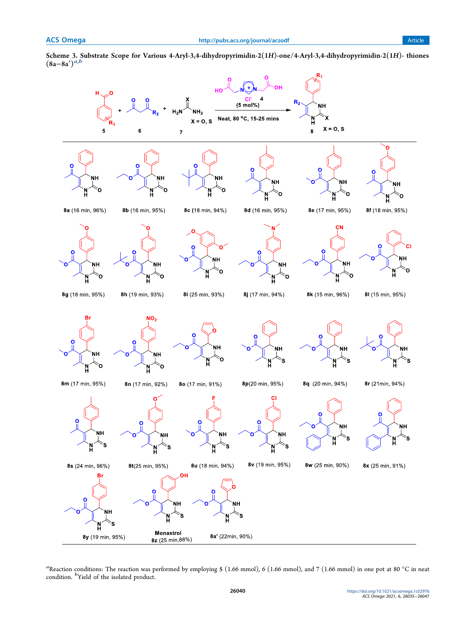

Scheme 3. Substrate Scope for Various 4-Aryl-3,4-dihydropyrimidin-2(1H)-one/4-Aryl-3,4-dihydropyrimidin-2(1H)- thiones Scheme 3. Solution

<sup>a</sup>Reaction conditions: The reaction was performed by employing **5** (1.66 mmol), 6 (1.66 mmol), and 7 (1.66 mmol) in one pot at 80 °C in neat condition. <sup>*b*</sup>Yield of the isolated product.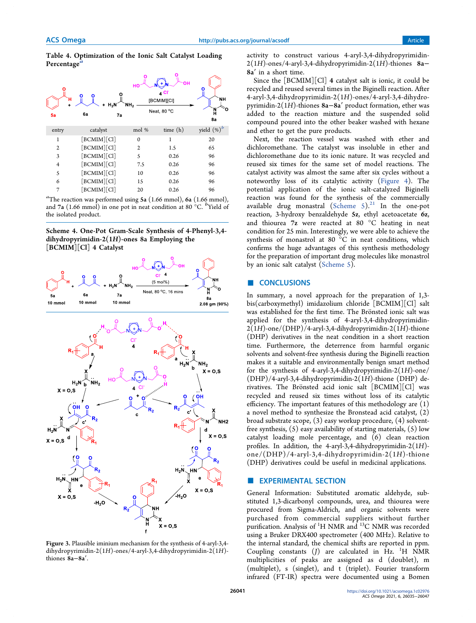Table 4. Optimization of the Ionic Salt Catalyst Loading Percentage<sup>®</sup>



<sup>a</sup>The reaction was performed using 5a (1.66 mmol), 6a (1.66 mmol), and 7a (1.66 mmol) in one pot in neat condition at 80 °C. <sup>*b*</sup>Yield of the isolated product.

Scheme 4. One-Pot Gram-Scale Synthesis of 4-Phenyl-3,4 dihydropyrimidin-2(1H)-ones 8a Employing the [BCMIM][Cl] 4 Catalyst



Figure 3. Plausible iminium mechanism for the synthesis of 4-aryl-3,4 dihydropyrimidin-2(1*H*)-ones/4-aryl-3,4-dihydropyrimidin-2(1*H*) thiones 8a−8a′.

activity to construct various 4-aryl-3,4-dihydropyrimidin-2(1*H*)-ones/4-aryl-3,4-dihydropyrimidin-2(1*H*)-thiones 8a− 8a′ in a short time.

Since the [BCMIM][Cl] 4 catalyst salt is ionic, it could be recycled and reused several times in the Biginelli reaction. After 4-aryl-3,4-dihydropyrimidin-2(1*H*)-ones/4-aryl-3,4-dihydropyrimidin-2(1*H*)-thiones 8a−8a′ product formation, ether was added to the reaction mixture and the suspended solid compound poured into the other beaker washed with hexane and ether to get the pure products.

Next, the reaction vessel was washed with ether and dichloromethane. The catalyst was insoluble in ether and dichloromethane due to its ionic nature. It was recycled and reused six times for the same set of model reactions. The catalyst activity was almost the same after six cycles without a noteworthy loss of its catalytic activity (Figure 4). The potential application of the ionic salt-catalyzed Biginelli reaction was found for the synthesis of the commercially available drug monastral (Scheme  $5)^{21}$  In the one-pot reaction, 3-hydroxy benzaldehyde 5z, ethyl acetoacetate 6z, and thiourea 7z were reacted at 80 °C heating in neat condition for 25 min. Interestingly, we were able to achieve the synthesis of monastrol at 80 °C in neat conditions, which confirms the huge advantages of this synthesis methodology for the preparation of important drug molecules like monastrol by an ionic salt catalyst (Scheme 5).

#### ■ CONCLUSIONS

In summary, a novel approach for the preparation of 1,3 bis(carboxymethyl) imidazolium chloride [BCMIM][Cl] salt was established for the first time. The Brönsted ionic salt was applied for the synthesis of 4-aryl-3,4-dihydropyrimidin-2(1*H*)-one/(DHP)/4-aryl-3,4-dihydropyrimidin-2(1*H*)-thione (DHP) derivatives in the neat condition in a short reaction time. Furthermore, the deterrence from harmful organic solvents and solvent-free synthesis during the Biginelli reaction makes it a suitable and environmentally benign smart method for the synthesis of 4-aryl-3,4-dihydropyrimidin-2(1*H*)-one/ (DHP)/4-aryl-3,4-dihydropyrimidin-2(1*H*)-thione (DHP) derivatives. The Brönsted acid ionic salt [BCMIM][Cl] was recycled and reused six times without loss of its catalytic efficiency. The important features of this methodology are (1) a novel method to synthesize the Bronstead acid catalyst, (2) broad substrate scope, (3) easy workup procedure, (4) solventfree synthesis,  $(5)$  easy availability of starting materials,  $(5)$  low catalyst loading mole percentage, and (6) clean reaction profiles. In addition, the 4-aryl-3,4-dihydropyrimidin-2(1*H*) one/(DHP)/4-aryl-3,4-dihydropyrimidin-2(1*H*)-thione (DHP) derivatives could be useful in medicinal applications.

#### **EXPERIMENTAL SECTION**

General Information: Substituted aromatic aldehyde, substituted 1,3-dicarbonyl compounds, urea, and thiourea were procured from Sigma-Aldrich, and organic solvents were purchased from commercial suppliers without further purification. Analysis of <sup>1</sup>H NMR and <sup>13</sup>C NMR was recorded using a Bruker DRX400 spectrometer (400 MHz). Relative to the internal standard, the chemical shifts are reported in ppm. Coupling constants  $(J)$  are calculated in Hz.  ${}^{1}H$  NMR multiplicities of peaks are assigned as d (doublet), m (multiplet), s (singlet), and t (triplet). Fourier transform infrared (FT-IR) spectra were documented using a Bomen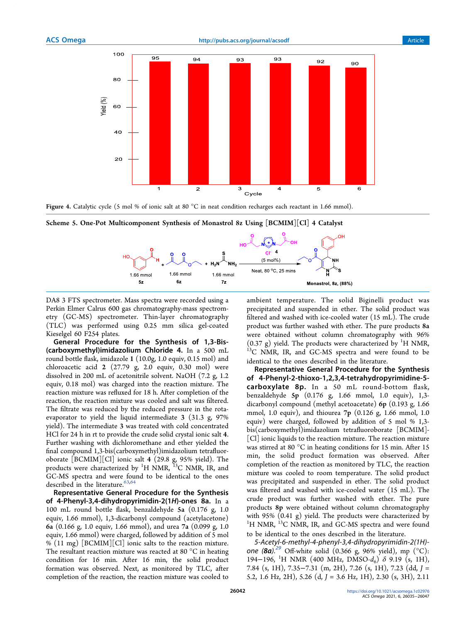

Figure 4. Catalytic cycle (5 mol % of ionic salt at 80 °C in neat condition recharges each reactant in 1.66 mmol).



Scheme 5. One-Pot Multicomponent Synthesis of Monastrol 8z Using [BCMIM][Cl] 4 Catalyst

DA8 3 FTS spectrometer. Mass spectra were recorded using a Perkin Elmer Calrus 600 gas chromatography-mass spectrometry (GC-MS) spectrometer. Thin-layer chromatography (TLC) was performed using 0.25 mm silica gel-coated Kieselgel 60 F254 plates.

General Procedure for the Synthesis of 1,3-Bis- (carboxymethyl)imidazolium Chloride 4. In a 500 mL round bottle flask, imidazole 1 (10.0g, 1.0 equiv, 0.15 mol) and chloroacetic acid 2 (27.79 g, 2.0 equiv, 0.30 mol) were dissolved in 200 mL of acetonitrile solvent. NaOH (7.2 g, 1.2 equiv, 0.18 mol) was charged into the reaction mixture. The reaction mixture was refluxed for 18 h. After completion of the reaction, the reaction mixture was cooled and salt was filtered. The filtrate was reduced by the reduced pressure in the rotaevaporator to yield the liquid intermediate 3 (31.3 g, 97% yield). The intermediate 3 was treated with cold concentrated HCl for 24 h in rt to provide the crude solid crystal ionic salt 4. Further washing with dichloromethane and ether yielded the final compound 1,3-bis(carboxymethyl)imidazolium tetrafluoroborate [BCMIM][Cl] ionic salt 4 (29.8 g, 95% yield). The products were characterized by <sup>1</sup>H NMR, <sup>13</sup>C NMR, IR, and GC-MS spectra and were found to be identical to the ones described in the literature.  $63,64$ 

Representative General Procedure for the Synthesis of 4-Phenyl-3,4-dihydropyrimidin-2(1H)-ones 8a. In a 100 mL round bottle flask, benzaldehyde 5a (0.176 g, 1.0 equiv, 1.66 mmol), 1,3-dicarbonyl compound (acetylacetone) 6a (0.166 g, 1.0 equiv, 1.66 mmol), and urea 7a (0.099 g, 1.0 equiv, 1.66 mmol) were charged, followed by addition of 5 mol % (11 mg) [BCMIM][Cl] ionic salts to the reaction mixture. The resultant reaction mixture was reacted at 80 °C in heating condition for 16 min. After 16 min, the solid product formation was observed. Next, as monitored by TLC, after completion of the reaction, the reaction mixture was cooled to

ambient temperature. The solid Biginelli product was precipitated and suspended in ether. The solid product was filtered and washed with ice-cooled water (15 mL). The crude product was further washed with ether. The pure products 8a were obtained without column chromatography with 96%  $(0.37 \text{ g})$  yield. The products were characterized by <sup>1</sup>H NMR, <sup>13</sup>C NMR, IR, and GC-MS spectra and were found to be identical to the ones described in the literature.

Representative General Procedure for the Synthesis of 4-Phenyl-2-thioxo-1,2,3,4-tetrahydropyrimidine-5 carboxylate 8p. In a 50 mL round-bottom flask, benzaldehyde 5p (0.176 g, 1.66 mmol, 1.0 equiv), 1,3 dicarbonyl compound (methyl acetoacetate) 6p (0.193 g, 1.66 mmol, 1.0 equiv), and thiourea 7p (0.126 g, 1.66 mmol, 1.0 equiv) were charged, followed by addition of 5 mol % 1,3 bis(carboxymethyl)imidazolium tetrafluoroborate [BCMIM]- [Cl] ionic liquids to the reaction mixture. The reaction mixture was stirred at 80 °C in heating conditions for 15 min. After 15 min, the solid product formation was observed. After completion of the reaction as monitored by TLC, the reaction mixture was cooled to room temperature. The solid product was precipitated and suspended in ether. The solid product was filtered and washed with ice-cooled water (15 mL). The crude product was further washed with ether. The pure products 8p were obtained without column chromatography with 95% (0.41 g) yield. The products were characterized by <sup>1</sup>H NMR, <sup>13</sup>C NMR, IR, and GC-MS spectra and were found to be identical to the ones described in the literature.

5-Acetyl-6-methyl-4-phenyl-3,4-dihydropyrimidin-2(1H) one (8a).<sup>29</sup> Off-white solid (0.366 g, 96% yield), mp (°C): 194−196, <sup>1</sup>H NMR (400 MHz, DMSO-*d*6) δ 9.19 (s, 1H), 7.84 (s, 1H), 7.35−7.31 (m, 2H), 7.26 (s, 1H), 7.23 (dd, *J* = 5.2, 1.6 Hz, 2H), 5.26 (d, *J* = 3.6 Hz, 1H), 2.30 (s, 3H), 2.11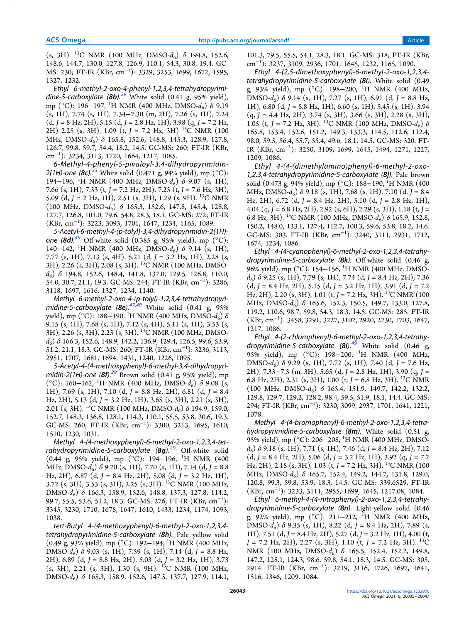(s, 3H). <sup>13</sup>C NMR (100 MHz, DMSO-*d*6) δ 194.8, 152.6, 148.6, 144.7, 130.0, 127.8, 126.9, 110.1, 54.3, 30.8, 19.4. GC-MS: 230; FT-IR (KBr, cm<sup>−</sup><sup>1</sup> ): 3329, 3253, 1699, 1672, 1595, 1327, 1232.

Ethyl 6-methyl-2-oxo-4-phenyl-1,2,3,4-tetrahydropyrimidine-5-carboxylate  $(8b)$ .<sup>29</sup> White solid  $(0.41 \text{ g}, 95\% \text{ yield})$ , mp (°C): 196–197, <sup>1</sup>H NMR (400 MHz, DMSO-*d*<sub>6</sub>) δ 9.19 (s, 1H), 7.74 (s, 1H), 7.34−7.30 (m, 2H), 7.26 (s, 1H), 7.24 (d, *J* = 8 Hz, 2H), 5.15 (d, *J* = 2.8 Hz, 1H), 3.98 (q, *J* = 7.2 Hz, 2H) 2.25 (s, 3H), 1.09 (t, *J* = 7.2 Hz, 3H) <sup>13</sup>C NMR (100 MHz, DMSO-*d*6) δ 165.8, 152.6, 148.8, 145.3, 128.9, 127.8, 126.7, 99.8, 59.7, 54.4, 18.2, 14.5. GC-MS: 260; FT-IR (KBr, cm<sup>−</sup><sup>1</sup> ): 3234, 3113, 1720, 1664, 1217, 1085.

6-Methyl-4-phenyl-5-pivaloyl-3,4-dihydropyrimidin-2(1H)-one (8c).<sup>33</sup> White solid (0.471 g, 94% yield), mp (°C): 194−196, <sup>1</sup>H NMR (400 MHz, DMSO-d<sub>6</sub>) δ 9.07 (s, 1H), 7.66 (s, 1H), 7.33 (t, *J* = 7.2 Hz, 2H), 7.25 (t, *J* = 7.6 Hz, 3H), 5.09 (d, *J* = 2 Hz, 1H), 2.51 (s, 3H), 1.29 (s, 9H). <sup>13</sup>C NMR (100 MHz, DMSO-*d*6) δ 165.3, 152.6, 147.8, 145.4, 128.8, 127.7, 126.8, 101.0, 79.6, 54.8, 28.3, 18.1. GC-MS: 272; FT-IR (KBr, cm<sup>−</sup><sup>1</sup> ): 3223, 3093, 1701, 1647, 1234, 1165, 1089.

5-Acetyl-6-methyl-4-(p-tolyl)-3,4-dihydropyrimidin-2(1H) one (8d). $^{49}$  Off-white solid (0.385 g, 95% yield), mp (°C): 140−142, <sup>1</sup>H NMR (400 MHz, DMSO-*d*6) δ 9.14 (s, 1H), 7.77 (s, 1H), 7.13 (s, 4H), 5.21 (d, *J* = 3.2 Hz, 1H), 2.28 (s, 3H), 2.26 (s, 3H), 2.08 (s, 3H). <sup>13</sup>C NMR (100 MHz, DMSO*d*6) δ 194.8, 152.6, 148.4, 141.8, 137.0, 129.5, 126.8, 110.0, 54.0, 30.7, 21.1, 19.3. GC-MS: 244; FT-IR (KBr, cm<sup>−</sup><sup>1</sup> ): 3286, 3118, 1697, 1616, 1327, 1234, 1140.

Methyl 6-methyl-2-oxo-4-(p-tolyl)-1,2,3,4-tetrahydropyrimidine-5-carboxylate (8e).<sup>47,49</sup> White solid  $(0.41 \text{ g}, 95\%$ yield), mp  $({}^{\circ}C)$ : 188–190, <sup>1</sup>H NMR (400 MHz, DMSO- $d_6$ )  $\delta$ 9.15 (s, 1H), 7.68 (s, 1H), 7.12 (s, 4H), 5.11 (s, 1H), 3.53 (s, 3H), 2.26 (s, 3H), 2.25 (s, 3H). <sup>13</sup>C NMR (100 MHz, DMSO*d*6) δ 166.3, 152.6, 148.9, 142.2, 136.9, 129.4, 126.5, 99.6, 53.9, 51.2, 21.1, 18.3. GC-MS: 260; FT-IR (KBr, cm<sup>−</sup><sup>1</sup> ): 3236, 3113, 2951, 1707, 1681, 1694, 1431, 1240, 1226, 1095.

5-Acetyl-4-(4-methoxyphenyl)-6-methyl-3,4-dihydropyrimidin-2(1H)-one  $(8f).^{29}$  Brown solid (0.41 g, 95% yield), mp (°C): 160−162, <sup>1</sup>H NMR (400 MHz, DMSO-*d*6) δ 9.08 (s, 1H), 7.69 (s, 1H), 7.10 (d, *J* = 8.8 Hz, 2H), 6.81 (d, *J* = 8.4 Hz, 2H), 5.13 (d, *J* = 3.2 Hz, 1H), 3.65 (s, 3H), 2.21 (s, 3H), 2.01 (s, 3H). <sup>13</sup>C NMR (100 MHz, DMSO- $d_6$ ) δ 194.9, 159.0, 152.7, 148.3, 136.8, 128.1, 114.3, 110.1, 55.5, 53.8, 30.6, 19.3. GC-MS: 260; FT-IR (KBr, cm<sup>−</sup><sup>1</sup> ): 3300, 3213, 1695, 1610, 1510, 1230, 1031.

Methyl 4-(4-methoxyphenyl)-6-methyl-2-oxo-1,2,3,4-tetrahydropyrimidine-5-carboxylate  $(8q)^{29}$  Off-white solid (0.44 g, 95% yield), mp (°C): 194−196, <sup>1</sup>H NMR (400 MHz, DMSO-*d*6) δ 9.20 (s, 1H), 7.70 (s, 1H), 7.14 (d, *J* = 8.8 Hz, 2H), 6.87 (d, *J* = 8.4 Hz, 2H), 5.08 (d, *J* = 3.2 Hz, 1H), 3.72 (s, 3H), 3.53 (s, 3H), 2.25 (s, 3H). <sup>13</sup>C NMR (100 MHz, DMSO-*d*6) δ 166.3, 158.9, 152.6, 148.8, 137.3, 127.8, 114.2, 99.7, 55.5, 53.6, 51.2, 18.3. GC-MS: 276; FT-IR (KBr, cm<sup>-1</sup>): 3345, 3230, 1710, 1678, 1647, 1610, 1433, 1234, 1174, 1093, 1038.

tert-Butyl 4-(4-methoxyphenyl)-6-methyl-2-oxo-1,2,3,4 tetrahydropyrimidine-5-carboxylate (8h). Pale yellow solid (0.49 g, 93% yield), mp (°C): 192−194, <sup>1</sup>H NMR (400 MHz, DMSO-*d*6) δ 9.03 (s, 1H), 7.59 (s, 1H), 7.14 (d, *J =* 8.8 Hz, 2H), 6.89 (d, *J* = 8.8 Hz, 2H), 5.03 (d, *J* = 3.2 Hz, 1H), 3.73  $(s, 3H)$ , 2.21  $(s, 3H)$ , 1.30  $(s, 9H)$ . <sup>13</sup>C NMR (100 MHz, DMSO-*d*6) δ 165.3, 158.9, 152.6, 147.5, 137.7, 127.9, 114.1,

101.3, 79.5, 55.5, 54.1, 28.3, 18.1. GC-MS: 318; FT-IR (KBr, cm<sup>−</sup><sup>1</sup> ): 3237, 3109, 2936, 1701, 1645, 1232, 1165, 1090.

Ethyl 4-(2,5-dimethoxyphenyl)-6-methyl-2-oxo-1,2,3,4 tetrahydropyrimidine-5-carboxylate (8i). White solid (0.49 g, 93% yield), mp (°C): 198−200, <sup>1</sup>H NMR (400 MHz, DMSO-*d*<sup>6</sup> ) δ 9.14 (s, 1H), 7.27 (s, 1H), 6.91 (d, *J* = 8.8 Hz, 1H), 6.80 (d, *J* = 8.8 Hz, 1H), 6.60 (s, 1H), 5.45 (s, 1H), 3.94  $(q, J = 4.4 \text{ Hz}, 2H), 3.74 \text{ (s, 3H)}, 3.66 \text{ (s, 3H)}, 2.28 \text{ (s, 3H)},$ 1.05 (t,  $J = 7.2$  Hz, 3H). <sup>13</sup>C NMR (100 MHz, DMSO- $d_6$ )  $\delta$ 165.8, 153.4, 152.6, 151.2, 149.3, 133.3, 114.5, 112.6, 112.4, 98.0, 59.5, 56.4, 55.7, 55.4, 49.6, 18.1, 14.5. GC-MS: 320. FT-IR (KBr, cm<sup>−</sup><sup>1</sup> ): 3250, 3109, 1699, 1645, 1494, 1271, 1227, 1209, 1086.

Ethyl 4-(4-(dimethylamino)phenyl)-6-methyl-2-oxo-1,2,3,4-tetrahydropyrimidine-5-carboxylate (8j). Pale brown solid (0.473 g, 94% yield), mp (°C): 188−190, <sup>1</sup>H NMR (400 MHz, DMSO-*d*<sup>6</sup> ) δ 9.18 (s, 1H), 7.68 (s, 1H), 7.10 (d, *J* = 8.4 Hz, 2H), 6.72 (d, *J* = 8.4 Hz, 2H), 5.10 (d, *J* = 2.8 Hz, 1H), 4.04 (q, *J* = 6.8 Hz, 2H), 2.92 (s, 6H), 2.29 (s, 3H), 1.18 (t, *J* = 6.8 Hz, 3H). <sup>13</sup>C NMR (100 MHz, DMSO-*d*6) δ 165.9, 152.8, 150.2, 148.0, 133.1, 127.4, 112.7, 100.3, 59.6, 53.8, 18.2, 14.6. GC-MS: 303. FT-IR (KBr, cm<sup>−</sup><sup>1</sup> ): 3240, 3111, 2931, 1712, 1674, 1234, 1086.

Ethyl 4-(4-cyanophenyl)-6-methyl-2-oxo-1,2,3,4-tetrahydropyrimidine-5-carboxylate (8k). Off-white solid  $(0.46 \text{ g})$ 96% yield), mp (°C): 154–156, <sup>1</sup>H NMR (400 MHz, DMSO*d*6) δ 9.25 (s, 1H), 7.79 (s, 1H), 7.74 (d, *J* = 8.4 Hz, 2H), 7.36 (d, *J* = 8.4 Hz, 2H), 5.15 (d, *J* = 3.2 Hz, 1H), 3.91 (d, *J* = 7.2 Hz, 2H), 2.20 (s, 3H), 1.01 (t, *J* = 7.2 Hz, 3H). <sup>13</sup>C NMR (100 MHz, DMSO-d<sub>6</sub>) δ 165.6, 152.3, 150.5, 149.7, 133.0, 127.8, 119.2, 110.6, 98.7, 59.8, 54.3, 18.3, 14.5. GC-MS: 285. FT-IR (KBr, cm<sup>−</sup><sup>1</sup> ): 3458, 3291, 3227, 3102, 2920, 2230, 1703, 1647, 1217, 1086.

Ethyl 4-(2-chlorophenyl)-6-methyl-2-oxo-1,2,3,4-tetrahydropyrimidine-5-carboxylate (8I).<sup>49</sup> White solid (0.46 g, 95% yield), mp (°C): 198−200. <sup>1</sup>H NMR (400 MHz, DMSO-*d*6) δ 9.29 (s, 1H), 7.72 (s, 1H), 7.40 (d, *J* = 7.6 Hz, 2H), 7.33−7.5 (m, 3H), 5.65 (d, *J* = 2.8 Hz, 1H), 3.90 (q, *J* = 6.8 Hz, 2H), 2.31 (s, 3H), 1.00 (t,  $J = 6.8$  Hz, 3H). <sup>13</sup>C NMR (100 MHz, DMSO-*d*6) δ 165.4, 151.9, 149.7, 142.2, 132.2, 129.8, 129.7, 129.2, 128.2, 98.4, 59.5, 51.9, 18.1, 14.4. GC-MS: 294; FT-IR (KBr, cm<sup>−</sup><sup>1</sup> ): 3230, 3099, 2937, 1701, 1641, 1221, 1078.

Methyl 4-(4-bromophenyl)-6-methyl-2-oxo-1,2,3,4-tetrahydropyrimidine-5-carboxylate  $(8m)$ . White solid  $(0.51 g,$ 95% yield), mp (°C): 206–208, <sup>1</sup>H NMR (400 MHz, DMSO*d*6) δ 9.18 (s, 1H), 7.71 (s, 1H), 7.46 (d, *J* = 8.4 Hz, 2H), 7.12 (d, *J* = 8.4 Hz, 2H), 5.06 (d, *J* = 3.2 Hz, 1H), 3.92 (q, *J* = 7.2 Hz, 2H), 2.18 (s, 3H), 1.03 (t, *J* = 7.2 Hz, 3H). <sup>13</sup>C NMR (100 MHz, DMSO-d<sub>6</sub>) δ 165.7, 152.4, 149.2, 144.7, 131.8, 129.0, 120.8, 99.3, 59.8, 53.9, 18.3, 14.5. GC-MS: 339.6529. FT-IR (KBr, cm<sup>−</sup><sup>1</sup> ): 3233, 3111, 2955, 1699, 1645, 1217.08, 1084.

Ethyl 6-methyl-4-(4-nitrophenyl)-2-oxo-1,2,3,4-tetrahydropyrimidine-5-carboxylate (8n). Light-yellow solid (0.46 g, 92% yield), mp (°C): 211−212, <sup>1</sup>H NMR (400 MHz, DMSO-*d*6) δ 9.35 (s, 1H), 8.22 (d, *J* = 8.4 Hz, 2H), 7.89 (s, 1H), 7.51 (d, *J* = 8.4 Hz, 2H), 5.27 (d, *J* = 3.2 Hz, 1H), 4.00 (t, *J* = 7.2 Hz, 2H), 2.27 (s, 3H), 1.10 (t, *J* = 7.2 Hz, 3H). <sup>13</sup>C NMR (100 MHz, DMSO-d<sub>6</sub>) δ 165.5, 152.4, 152.2, 149.8, 147.2, 128.1, 124.3, 98.6, 59.8, 54.1, 18.3, 14.5. GC-MS: 305. 2914. FT-IR (KBr, cm<sup>−</sup><sup>1</sup> ): 3219, 3116, 1726, 1697, 1641, 1516, 1346, 1209, 1084.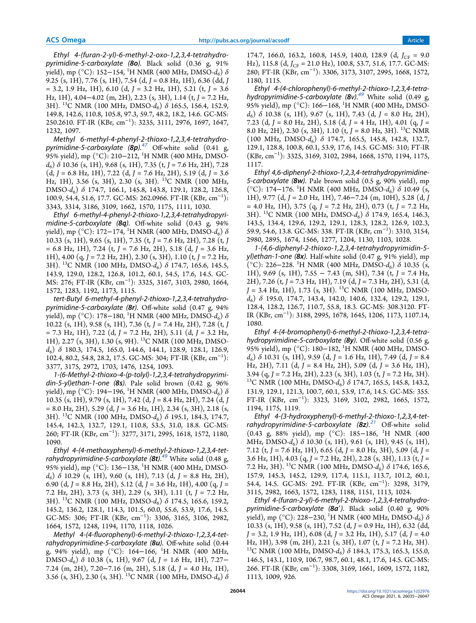Ethyl 4-(furan-2-yl)-6-methyl-2-oxo-1,2,3,4-tetrahydropyrimidine-5-carboxylate (80). Black solid  $(0.36 \text{ g}, 91\%)$ yield), mp (°C): 152−154, <sup>1</sup>H NMR (400 MHz, DMSO-*d*<sub>6</sub>) δ 9.25 (s, 1H), 7.76 (s, 1H), 7.54 (d, *J* = 0.8 Hz, 1H), 6.36 (dd, *J* = 3.2, 1.9 Hz, 1H), 6.10 (d, *J* = 3.2 Hz, 1H), 5.21 (t, *J* = 3.6 Hz, 1H), 4.04−4.02 (m, 2H), 2.23 (s, 3H), 1.14 (t, *J* = 7.2 Hz, 3H). <sup>13</sup>C NMR (100 MHz, DMSO-*d*6) δ 165.5, 156.4, 152.9, 149.8, 142.6, 110.8, 105.8, 97.3, 59.7, 48.2, 18.2, 14.6. GC-MS: 250.2610. FT-IR (KBr, cm<sup>−</sup><sup>1</sup> ): 3235, 3111, 2976, 1697, 1647, 1232, 1097.

Methyl 6-methyl-4-phenyl-2-thioxo-1,2,3,4-tetrahydropyrimidine-5-carboxylate  $(8p)^{47}$  Off-white solid (0.41 g, 95% yield), mp (°C): 210−212, <sup>1</sup>H NMR (400 MHz, DMSO*d*6) δ 10.36 (s, 1H), 9.68 (s, 1H), 7.35 (t, *J* = 7.6 Hz, 2H), 7.28 (d, *J* = 6.8 Hz, 1H), 7.22 (d, *J* = 7.6 Hz, 2H), 5.19 (d, *J* = 3.6 Hz, 1H), 3.56 (s, 3H), 2.30 (s, 3H). <sup>13</sup>C NMR (100 MHz, DMSO-*d*<sup>6</sup> ) δ 174.7, 166.1, 145.8, 143.8, 129.1, 128.2, 126.8, 100.9, 54.4, 51.6, 17.7. GC-MS: 262.0966. FT-IR (KBr, cm<sup>−</sup><sup>1</sup> ): 3343, 3314, 3186, 3109, 1662, 1570, 1175, 1111, 1030.

Ethyl 6-methyl-4-phenyl-2-thioxo-1,2,3,4-tetrahydropyrimidine-5-carboxylate (8q). Off-white solid  $(0.43 \text{ g}, 94\%$ yield), mp (°C): 172−174, <sup>1</sup>H NMR (400 MHz, DMSO-*d*<sup>6</sup> ) δ 10.33 (s, 1H), 9.65 (s, 1H), 7.35 (t, *J* = 7.6 Hz, 2H), 7.28 (t, *J* = 6.8 Hz, 1H), 7.24 (t, *J* = 7.6 Hz, 2H), 5.18 (d, *J* = 3.6 Hz, 1H), 4.00 (q, *J* = 7.2 Hz, 2H), 2.30 (s, 3H), 1.10 (t, *J* = 7.2 Hz, 3H). <sup>13</sup>C NMR (100 MHz, DMSO-*d*6) δ 174.7, 165.6, 145.5, 143.9, 129.0, 128.2, 126.8, 101.2, 60.1, 54.5, 17.6, 14.5. GC-MS: 276; FT-IR (KBr, cm<sup>−</sup><sup>1</sup> ): 3325, 3167, 3103, 2980, 1664, 1572, 1283, 1192, 1173, 1115.

tert-Butyl 6-methyl-4-phenyl-2-thioxo-1,2,3,4-tetrahydropyrimidine-5-carboxylate (8r). Off-white solid (0.47 g, 94% (*v*ield), mp (°C): 178−180, <sup>1</sup>H NMR (400 MHz, DMSO-*d*<sub>6</sub>) δ 10.22 (s, 1H), 9.58 (s, 1H), 7.36 (t, *J* = 7.4 Hz, 2H), 7.28 (t, *J* = 7.3 Hz, 1H), 7.22 (d, *J* = 7.2 Hz, 2H), 5.11 (d, *J* = 3.2 Hz, 1H), 2.27 (s, 3H), 1.30 (s, 9H). <sup>13</sup>C NMR (100 MHz, DMSO*d*6) δ 180.3, 174.5, 165.0, 144.6, 144.1, 128.9, 128.1, 126.9, 102.4, 80.2, 54.8, 28.2, 17.5. GC-MS: 304; FT-IR (KBr, cm<sup>−</sup><sup>1</sup> ): 3377, 3175, 2972, 1703, 1476, 1254, 1093.

1-(6-Methyl-2-thioxo-4-(p-tolyl)-1,2,3,4-tetrahydropyrimidin-5-yl)ethan-1-one  $(8s)$ . Pale solid brown  $(0.42 \text{ g}, 96\%)$ yield), mp (°C): 194−196, <sup>1</sup>H NMR (400 MHz, DMSO- $d_6$ ) δ 10.35 (s, 1H), 9.79 (s, 1H), 7.42 (d, *J =* 8.4 Hz, 2H), 7.24 (d, *J =* 8.0 Hz, 2H), 5.29 (d, *J =* 3.6 Hz, 1H), 2.34 (s, 3H), 2.18 (s, 3H). <sup>13</sup>C NMR (100 MHz, DMSO-*d*6) δ 195.1, 184.3, 174.7, 145.4, 142.3, 132.7, 129.1, 110.8, 53.5, 31.0, 18.8. GC-MS: 260; FT-IR (KBr, cm<sup>−</sup><sup>1</sup> ): 3277, 3171, 2995, 1618, 1572, 1180, 1090.

Ethyl 4-(4-methoxyphenyl)-6-methyl-2-thioxo-1,2,3,4-tetrahydropyrimidine-5-carboxylate  $(8t)$ .<sup>49</sup> White solid (0.48 g, 95% yield), mp (°C): 136–138, <sup>1</sup>H NMR (400 MHz, DMSO $d_6$ )  $\delta$  10.29 (s, 1H), 9.60 (s, 1H), 7.13 (d, *J* = 8.8 Hz, 2H), 6.90 (d, *J* = 8.8 Hz, 2H), 5.12 (d, *J* = 3.6 Hz, 1H), 4.00 (q, *J* = 7.2 Hz, 2H), 3.73 (s, 3H), 2.29 (s, 3H), 1.11 (t, *J* = 7.2 Hz, 3H). <sup>13</sup>C NMR (100 MHz, DMSO-*d*6) δ 174.5, 165.6, 159.2, 145.2, 136.2, 128.1, 114.3, 101.5, 60.0, 55.6, 53.9, 17.6, 14.5. GC-MS: 306; FT-IR (KBr, cm<sup>−</sup><sup>1</sup> ): 3306, 3165, 3106, 2982, 1664, 1572, 1248, 1194, 1170, 1118, 1026.

Methyl 4-(4-fluorophenyl)-6-methyl-2-thioxo-1,2,3,4-tetrahydropyrimidine-5-carboxylate  $(8u)$ . Off-white solid  $(0.44)$ g, 94% yield), mp  $({}^{\circ}C)$ : 164–166, <sup>1</sup>H NMR (400 MHz, DMSO-*d*6) δ 10.38 (s, 1H), 9.67 (d, *J* = 1.6 Hz, 1H), 7.27− 7.24 (m, 2H), 7.20−7.16 (m, 2H), 5.18 (d, *J* = 4.0 Hz, 1H), 3.56 (s, 3H), 2.30 (s, 3H). <sup>13</sup>C NMR (100 MHz, DMSO-*d*<sup>6</sup> ) δ

174.7, 166.0, 163.2, 160.8, 145.9, 140.0, 128.9 (d, *J*<sub>CF</sub> = 9.0 Hz), 115.8 (d,  $J_{CF} = 21.0$  Hz), 100.8, 53.7, 51.6, 17.7. GC-MS: 280; FT-IR (KBr, cm<sup>−</sup><sup>1</sup> ): 3306, 3173, 3107, 2995, 1668, 1572, 1180, 1115.

Ethyl 4-(4-chlorophenyl)-6-methyl-2-thioxo-1,2,3,4-tetrahydropyrimidine-5-carboxylate  $(8v)^{49}$  White solid (0.49 g, 95% yield), mp (°C): 166–168, <sup>1</sup>H NMR (400 MHz, DMSO*d*6) δ 10.38 (s, 1H), 9.67 (s, 1H), 7.43 (d, *J* = 8.0 Hz, 2H), 7.23 (d, *J* = 8.0 Hz, 2H), 5.18 (d, *J* = 4 Hz, 1H), 4.01 (q, *J* = 8.0 Hz, 2H), 2.30 (s, 3H), 1.10 (t, *J* = 8.0 Hz, 3H). <sup>13</sup>C NMR (100 MHz, DMSO-*d*6) δ 174.7, 165.5, 145.8, 142.8, 132.7, 129.1, 128.8, 100.8, 60.1, 53.9, 17.6, 14.5. GC-MS: 310; FT-IR (KBr, cm<sup>−</sup><sup>1</sup> ): 3325, 3169, 3102, 2984, 1668, 1570, 1194, 1175, 1117.

Ethyl 4,6-diphenyl-2-thioxo-1,2,3,4-tetrahydropyrimidine-5-carboxylate (8w). Pale brown solid (0.5 g, 90% yield), mp (°C): 174−176. <sup>1</sup>H NMR (400 MHz, DMSO-*d*<sub>6</sub>) δ 10.49 (s<sub>1</sub>) 1H), 9.77 (d, *J* = 2.0 Hz, 1H), 7.46−7.24 (m, 10H), 5.28 (d, *J* = 4.0 Hz, 1H), 3.75 (q, *J* = 7.2 Hz, 2H), 0.73 (t, *J* = 7.2 Hz, 3H). <sup>13</sup>C NMR (100 MHz, DMSO-*d*6) δ 174.9, 165.4, 146.3, 143.5, 134.4, 129.6, 129.2, 129.1, 128.3, 128.2, 126.9, 102.3, 59.9, 54.6, 13.8. GC-MS: 338. FT-IR (KBr, cm<sup>−</sup><sup>1</sup> ): 3310, 3154, 2980, 2895, 1674, 1566, 1277, 1204, 1130, 1103, 1028.

1-(4,6-diphenyl-2-thioxo-1,2,3,4-tetrahydropyrimidin-5 yl)ethan-1-one (8x). Half-white solid  $(0.47 g, 91\%$  yield), mp (°C): 226–228. <sup>1</sup>H NMR (400 MHz, DMSO- $d_6$ )  $\delta$  10.35 (s, 1H), 9.69 (s, 1H), 7.55 − 7.43 (m, 5H), 7.34 (t, *J* = 7.4 Hz, 2H), 7.26 (t, *J* = 7.3 Hz, 1H), 7.19 (d, *J* = 7.3 Hz, 2H), 5.31 (d,  $J = 3.4$  Hz, 1H), 1.73 (s, 3H). <sup>13</sup>C NMR (100 MHz, DMSO*d*6) δ 195.0, 174.7, 143.4, 142.0, 140.6, 132.4, 129.2, 129.1, 128.4, 128.2, 126.7, 110.7, 55.8, 18.3. GC-MS: 308.3120. FT-IR (KBr, cm<sup>−</sup><sup>1</sup> ): 3188, 2995, 1678, 1645, 1206, 1173, 1107.14, 1080.

Ethyl 4-(4-bromophenyl)-6-methyl-2-thioxo-1,2,3,4-tetrahydropyrimidine-5-carboxylate (8y). Off-white solid (0.56 g, 95% yield), mp (°C): 180−182, <sup>1</sup>H NMR (400 MHz, DMSO*d*6) δ 10.31 (s, 1H), 9.59 (d, *J* = 1.6 Hz, 1H), 7.49 (d, *J* = 8.4 Hz, 2H), 7.11 (d, *J* = 8.4 Hz, 2H), 5.09 (d, *J* = 3.6 Hz, 1H), 3.94 (q, *J* = 7.2 Hz, 2H), 2.23 (s, 3H), 1.03 (t, *J* = 7.2 Hz, 3H). <sup>13</sup>C NMR (100 MHz, DMSO-d<sub>6</sub>) δ 174.7, 165.5, 145.8, 143.2, 131.9, 129.1, 121.3, 100.7, 60.1, 53.9, 17.6, 14.5. GC-MS: 355. FT-IR (KBr, cm<sup>−</sup><sup>1</sup> ): 3323, 3169, 3102, 2982, 1665, 1572, 1194, 1175, 1119.

Ethyl 4-(3-hydroxyphenyl)-6-methyl-2-thioxo-1,2,3,4-tetrahydropyrimidine-5-carboxylate  $(8z)^{21}$  Off-white solid (0.43 g, 88% yield), mp (°C): 185−186, <sup>1</sup>H NMR (400 MHz, DMSO-*d*6) δ 10.30 (s, 1H), 9.61 (s, 1H), 9.45 (s, 1H), 7.12 (t, *J =* 7.6 Hz, 1H), 6.65 (d, *J =* 8.0 Hz, 3H), 5.09 (d, *J =* 3.6 Hz, 1H), 4.03 (q, *J =* 7.2 Hz, 2H), 2.28 (s, 3H), 1.13 (t, *J =* 7.2 Hz, 3H). <sup>13</sup>C NMR (100 MHz, DMSO-d<sub>6</sub>) δ 174.6, 165.6, 157.9, 145.3, 145.2, 129.9, 117.4, 115.1, 113.7, 101.2, 60.1, 54.4, 14.5. GC-MS: 292. FT-IR (KBr, cm<sup>−</sup><sup>1</sup> ): 3298, 3179, 3115, 2982, 1663, 1572, 1283, 1188, 1151, 1113, 1024.

Ethyl 4-(furan-2-yl)-6-methyl-2-thioxo-1,2,3,4-tetrahydropyrimidine-5-carboxylate  $(8a')$ . Black solid  $(0.40 g, 90\%)$ yield), mp (°C): 228–230, <sup>1</sup>H NMR (400 MHz, DMSO- $d_6$ )  $\delta$ 10.33 (s, 1H), 9.58 (s, 1H), 7.52 (d, *J* = 0.9 Hz, 1H), 6.32 (dd, *J* = 3.2, 1.9 Hz, 1H), 6.08 (d, *J* = 3.2 Hz, 1H), 5.17 (d, *J* = 4.0 Hz, 1H), 3.98 (m, 2H), 2.21 (s, 3H), 1.07 (t, *J* = 7.2 Hz, 3H). <sup>13</sup>C NMR (100 MHz, DMSO-d<sub>6</sub>) δ 184.3, 175.3, 165.3, 155.0, 146.5, 143.1, 110.9, 106.7, 98.7, 60.1, 48.1, 17.6, 14.5. GC-MS: 266. FT-IR (KBr, cm<sup>−</sup><sup>1</sup> ): 3308, 3169, 1661, 1609, 1572, 1182, 1113, 1009, 926.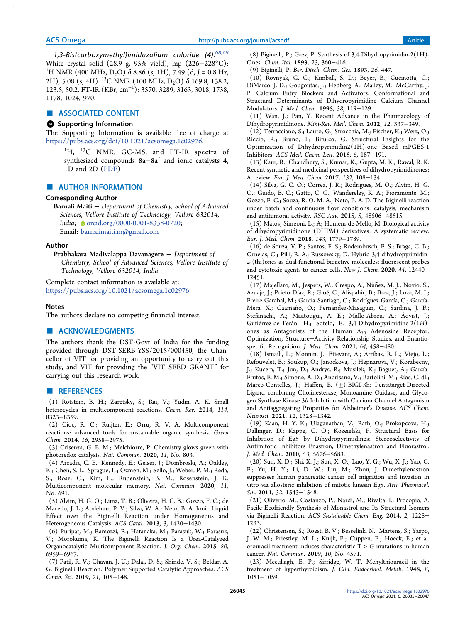1,3-Bis(carboxymethyl)imidazolium chloride  $(4)$ .  $68,69$ White crystal solid (28.9 g, 95% yield), mp (226−228°C): <sup>1</sup>H NMR (400 MHz, D<sub>2</sub>O)  $\delta$  8.86 (s, 1H), 7.49 (d, *J* = 0.8 Hz, 2H), 5.08 (s, 4H). <sup>13</sup>C NMR (100 MHz, D<sub>2</sub>O)  $\delta$  169.8, 138.2, 123.5, 50.2. FT-IR (KBr, cm<sup>−</sup><sup>1</sup> ): 3570, 3289, 3163, 3018, 1738, 1178, 1024, 970.

#### ■ ASSOCIATED CONTENT

## **6** Supporting Information

The Supporting Information is available free of charge at https://pubs.acs.org/doi/10.1021/acsomega.1c02976.

<sup>1</sup>H, <sup>13</sup>C NMR, GC-MS, and FT-IR spectra of synthesized compounds 8a−8a′ and ionic catalysts 4, 1D and 2D (PDF)

#### ■ AUTHOR INFORMATION

#### Corresponding Author

Barnali Maiti − *Department of Chemistry, School of Advanced Sciences, Vellore Institute of Technology, Vellore 632014, India*; orcid.org/0000-0001-8338-0720; Email: barnalimaiti.m@gmail.com

#### Author

Prabhakara Madivalappa Davanagere − *Department of Chemistry, School of Advanced Sciences, Vellore Institute of Technology, Vellore 632014, India*

Complete contact information is available at: https://pubs.acs.org/10.1021/acsomega.1c02976

#### Notes

The authors declare no competing financial interest.

### ■ ACKNOWLEDGMENTS

The authors thank the DST-Govt of India for the funding provided through DST-SERB-YSS/2015/000450, the Chancellor of VIT for providing an opportunity to carry out this study, and VIT for providing the "VIT SEED GRANT" for carrying out this research work.

#### ■ REFERENCES

(1) Rotstein, B. H.; Zaretsky, S.; Rai, V.; Yudin, A. K. Small heterocycles in multicomponent reactions. *Chem. Rev.* 2014, *114*, 8323−8359.

(2) Cioc, R. C.; Ruijter, E.; Orru, R. V. A. Multicomponent reactions: advanced tools for sustainable organic synthesis. *Green Chem.* 2014, *16*, 2958−2975.

(3) Crisenza, G. E. M.; Melchiorre, P. Chemistry glows green with photoredox catalysis. *Nat. Commun.* 2020, *11*, No. 803.

(4) Arcadia, C. E.; Kennedy, E.; Geiser, J.; Dombroski, A.; Oakley, K.; Chen, S. L.; Sprague, L.; Ozmen, M.; Sello, J.; Weber, P. M.; Reda, S.; Rose, C.; Kim, E.; Rubenstein, B. M.; Rosenstein, J. K. Multicomponent molecular memory. *Nat. Commun.* 2020, *11*, No. 691.

(5) Alvim, H. G. O.; Lima, T. B.; Oliveira, H. C. B.; Gozzo, F. C.; de Macedo, J. L.; Abdelnur, P. V.; Silva, W. A.; Neto, B. A. Ionic Liquid Effect over the Biginelli Reaction under Homogeneous and Heterogeneous Catalysis. *ACS Catal.* 2013, *3*, 1420−1430.

(6) Puripat, M.; Ramozzi, R.; Hatanaka, M.; Parasuk, W.; Parasuk, V.; Morokuma, K. The Biginelli Reaction Is a Urea-Catalyzed Organocatalytic Multicomponent Reaction. *J. Org. Chem.* 2015, *80*, 6959−6967.

(7) Patil, R. V.; Chavan, J. U.; Dalal, D. S.; Shinde, V. S.; Beldar, A. G. Biginelli Reaction: Polymer Supported Catalytic Approaches. *ACS Comb. Sci.* 2019, *21*, 105−148.

(8) Biginelli, P.; Gazz, P. Synthesis of 3,4-Dihydropyrimidin-2(1H)- Ones. *Chim. Ital.* 1893, *23*, 360−416.

(9) Biginelli, P. *Ber. Dtsch. Chem. Ges.* 1893, *26*, 447.

(10) Rovnyak, G. C.; Kimball, S. D.; Beyer, B.; Cucinotta, G.; DiMarco, J. D.; Gougoutas, J.; Hedberg, A.; Malley, M.; McCarthy, J. P. Calcium Entry Blockers and Activators: Conformational and Structural Determinants of Dihydropyrimidine Calcium Channel Modulators. *J. Med. Chem.* 1995, *38*, 119−129.

(11) Wan, J.; Pan, Y. Recent Advance in the Pharmacology of Dihydropyrimidinone. *Mini-Rev. Med. Chem.* 2012, *12*, 337−349.

(12) Terracciano, S.; Lauro, G.; Strocchia, M.; Fischer, K.; Werz, O.; Riccio, R.; Bruno, I.; Bifulco, G. Structural Insights for the Optimization of Dihydropyrimidin2(1H)-one Based mPGES-1 Inhibitors. *ACS Med. Chem. Lett.* 2015, *6*, 187−191.

(13) Kaur, R.; Chaudhury, S.; Kumar, K.; Gupta, M. K.; Rawal, R. K. Recent synthetic and medicinal perspectives of dihydropyrimidinones: A review. *Eur. J. Med. Chem.* 2017, *132*, 108−134.

(14) Silva, G. C. O.; Correa, J. R.; Rodrigues, M. O.; Alvim, H. G. O.; Guido, B. C.; Gatto, C. C.; Wandereley, K. A.; Fioramonte, M.; Gozzo, F. C.; Souza, R. O. M. A.; Neto, B. A. D. The Biginelli reaction under batch and continuous flow conditions: catalysis, mechanism and antitumoral activity. *RSC Adv.* 2015, *5*, 48506−48515.

(15) Matos; Simeoni, L.; A; Homem-de-Mello, M. Biological activity of dihydropyrimidinone (DHPM) derivatives: A systematic review. *Eur. J. Med. Chem.* 2018, *143*, 1779−1789.

(16) de Souza, V. P.; Santos, F. S.; Rodembusch, F. S.; Braga, C. B.; Ornelas, C.; Pilli, R. A.; Russowsky, D. Hybrid 3,4-dihydropyrimidin-2-(thi)ones as dual-functional bioactive molecules: fluorescent probes and cytotoxic agents to cancer cells. *New J. Chem.* 2020, *44*, 12440− 12451.

(17) Majellaro, M.; Jespers, W.; Crespo, A.; Núñez, M. J.; Novio, S.; Azuaje, J.; Prieto-Díaz, R.; Gioé, C.; Alispahic, B.; Brea, J.; Loza, M. I.; Freire-Garabal, M.; Garcia-Santiago, C.; Rodríguez-García, C.; García-Mera, X.; Caamaño, O.; Fernandez-Masaguer, C.; Sardina, J. F.; Stefanachi, A.; Maatougui, A. E.; Mallo-Abreu, A.; Åqvist, J.; Gutiérrez-de-Terán, H.; Sotelo, E. 3,4-Dihydropyrimidine-2(1*H*) ones as Antagonists of the Human A<sub>2B</sub> Adenosine Receptor: Optimization, Structure−Activity Relationship Studies, and Enantiospecific Recognition. *J. Med. Chem.* 2021, *64*, 458−480.

(18) Ismaili, L.; Monnin, J.; Etievant, A.; Arribas, R. L.; Viejo, L.; Refouvelet, B.; Soukup, O.; Janockova, J.; Hepnarova, V.; Korabecny, J.; Kucera, T.; Jun, D.; Andrys, R.; Musilek, K.; Baguet, A.; García-Frutos, E. M.; Simone, A. D.; Andrisano, V.; Bartolini, M.; Ríos, C. dl.; Marco-Contelles, J.; Haffen, E. (±)-BIGI-3h: Pentatarget-Directed Ligand combining Cholinesterase, Monoamine Oxidase, and Glycogen Synthase Kinase  $3\beta$  Inhibition with Calcium Channel Antagonism and Antiaggregating Properties for Alzheimer's Disease. *ACS Chem. Neurosci.* 2021, *12*, 1328−1342.

(19) Kaan, H. Y. K.; Ulaganathan, V.; Rath, O.; Prokopcova, H.; Dallinger, D.; Kappe, C. O.; Kozeielski, F. Structural Basis for Inhibition of Eg5 by Dihydropyrimidines: Stereoselectivity of Antimitotic Inhibitors Enastron, Dimethylenastron and Fluorastrol. *J. Med. Chem.* 2010, *53*, 5676−5683.

(20) Sun, X. D.; Shi, X. J.; Sun, X. O.; Luo, Y. G.; Wu, X. J.; Yao, C. F.; Yu, H. Y.; Li, D. W.; Liu, M.; Zhou, J. Dimethylenastron suppresses human pancreatic cancer cell migration and invasion in vitro via allosteric inhibition of mitotic kinesin Eg5. *Acta Pharmacol. Sin.* 2011, *32*, 1543−1548.

(21) Oliverio, M.; Costanzo, P.; Nardi, M.; Rivalta, I.; Procopio, A. Facile Ecofriendly Synthesis of Monastrol and Its Structural Isomers via Biginelli Reaction. *ACS Sustainable Chem. Eng.* 2014, *2*, 1228− 1233.

(22) Christensen, S.; Roest, B. V.; Besselink, N.; Martens, S.; Yaspo, J. W. M.; Priestley, M. L.; Kuijk, P.; Cuppen, E.; Hoeck, E.; et al. orouracil treatment induces characteristic T > G mutations in human cancer. *Nat. Commun.* 2019, *10*, No. 4571.

(23) Mccullagh, E. P.; Sirridge, W. T. Mehylthiouracil in the treatment of hyperthyroidism. *J. Clin. Endocrinol. Metab.* 1948, *8*, 1051−1059.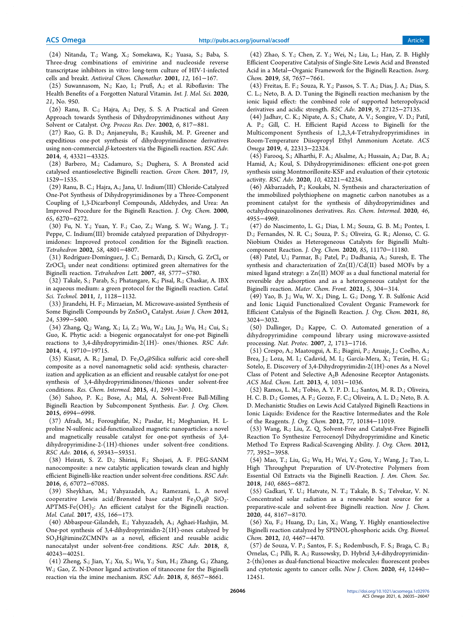(24) Nitanda, T.; Wang, X.; Somekawa, K.; Yuasa, S.; Baba, S. Three-drug combinations of emivirine and nucleoside reverse transcriptase inhibitors in vitro: long-term culture of HIV-1-infected cells and breakt. *Antiviral Chem. Chemother.* 2001, *12*, 161−167.

(25) Suwannasom, N.; Kao, I.; Pruß, A.; et al. Riboflavin: The Health Benefits of a Forgotten Natural Vitamin. *Int. J. Mol. Sci.* 2020, *21*, No. 950.

(26) Ranu, B. C.; Hajra, A.; Dey, S. S. A Practical and Green Approach towards Synthesis of Dihydropyrimidinones without Any Solvent or Catalyst. *Org. Process Res. Dev.* 2002, *6*, 817−881.

(27) Rao, G. B. D.; Anjaneyulu, B.; Kaushik, M. P. Greener and expeditious one-pot synthesis of dihydropyrimidinone derivatives using non-commercial β-ketoesters via the Biginelli reaction. *RSC Adv.* 2014, *4*, 43321−43325.

(28) Barbero, M.; Cadamuro, S.; Dughera, S. A Bronsted acid catalysed enantioselective Biginelli reaction. *Green Chem.* 2017, *19*, 1529−1535.

(29) Ranu, B. C.; Hajra, A.; Jana, U. Indium(III) Chloride-Catalyzed One-Pot Synthesis of Dihydropyrimidinones by a Three-Component Coupling of 1,3-Dicarbonyl Compounds, Aldehydes, and Urea: An Improved Procedure for the Biginelli Reaction. *J. Org. Chem.* 2000, *65*, 6270−6272.

(30) Fu, N. Y.; Yuan, Y. F.; Cao, Z.; Wang, S. W.; Wang, J. T.; Peppe, C. Indium(III) bromide catalyzed preparation of Dihydropyrimidones: Improved protocol condition for the Biginelli reaction. *Tetrahedron* 2002, *58*, 4801−4807.

(31) Rodríguez-Domínguez, J. C.; Bernardi, D.; Kirsch, G. ZrCl<sub>4</sub> or ZrOCl<sub>2</sub> under neat conditions: optimized green alternatives for the Biginelli reaction. *Tetrahedron Lett.* 2007, *48*, 5777−5780.

(32) Takale, S.; Parab, S.; Phatangare, K.; Pisal, R.; Chaskar, A. IBX in aqueous medium: a green protocol for the Biginelli reaction. *Catal. Sci. Technol.* 2011, *1*, 1128−1132.

(33) Jirandehi, H. F.; Mirzaeian, M. Microwave-assisted Synthesis of Some Biginelli Compounds by ZnSnO<sub>4</sub> Catalyst. Asian J. Chem 2012, *24*, 5399−5400.

(34) Zhang, Q.; Wang, X.; Li, Z.; Wu, W.; Liu, J.; Wu, H.; Cui, S.; Guo, K. Phytic acid: a biogenic organocatalyst for one-pot Biginelli reactions to 3,4-dihydropyrimidin-2(1H)- ones/thiones. *RSC Adv.* 2014, *4*, 19710−19715.

(35) Kiasat, A. R.; Jamal, D. Fe<sub>3</sub>O<sub>4</sub>@Silica sulfuric acid core-shell composite as a novel nanomagnetic solid acid: synthesis, characterization and application as an efficient and reusable catalyst for one-pot synthesis of 3,4-dihydropyrimidinones/thiones under solvent-free conditions. *Res. Chem. Intermed.* 2015, *41*, 2991−3001.

(36) Sahoo, P. K.; Bose, A.; Mal, A. Solvent-Free Ball-Milling Biginelli Reaction by Subcomponent Synthesis. *Eur. J. Org. Chem.* 2015, 6994−6998.

(37) Afradi, M.; Foroughifar, N.; Pasdar, H.; Moghanian, H. Lproline N-sulfonic acid-functionalized magnetic nanoparticles: a novel and magnetically reusable catalyst for one-pot synthesis of 3,4 dihydropyrimidine-2-(1H)-thiones under solvent-free conditions. *RSC Adv.* 2016, *6*, 59343−59351.

(38) Heirati, S. Z. D.; Shirini, F.; Shojaei, A. F. PEG-SANM nanocomposite: a new catalytic application towards clean and highly efficient Biginelli-like reaction under solvent-free conditions. *RSC Adv.* 2016, *6*, 67072−67085.

(39) Sheykhan, M.; Yahyazadeh, A.; Ramezani, L. A novel cooperative Lewis acid/Brønsted base catalyst  $Fe_{3}O_{4}$ @ Si $O_{2}$ - $\mathrm{APTMS\text{-}Fe(OH)}_2$ : An efficient catalyst for the Biginelli reaction. *Mol. Catal.* 2017, *435*, 166−173.

(40) Abbaspour-Gilandeh, E.; Yahyazadeh, A.; Aghaei-Hashjin, M. One-pot synthesis of 3,4-dihydropyrimidin-2(1H)-ones catalyzed by SO3H@imineZCMNPs as a novel, efficient and reusable acidic nanocatalyst under solvent-free conditions. *RSC Adv.* 2018, *8*, 40243−40251.

(41) Zheng, S.; Jian, Y.; Xu, S.; Wu, Y.; Sun, H.; Zhang, G.; Zhang, W.; Gao, Z. N-Donor ligand activation of titanocene for the Biginelli reaction via the imine mechanism. *RSC Adv.* 2018, *8*, 8657−8661.

(42) Zhao, S. Y.; Chen, Z. Y.; Wei, N.; Liu, L.; Han, Z. B. Highly Efficient Cooperative Catalysis of Single-Site Lewis Acid and Brønsted Acid in a Metal−Organic Framework for the Biginelli Reaction. *Inorg. Chem.* 2019, *58*, 7657−7661.

(43) Freitas, E. F.; Souza, R. Y.; Passos, S. T. A.; Dias, J. A.; Dias, S. C. L.; Neto, B. A. D. Tuning the Biginelli reaction mechanism by the ionic liquid effect: the combined role of supported heteropolyacid derivatives and acidic strength. *RSC Adv.* 2019, *9*, 27125−27135.

(44) Jadhav, C. K.; Nipate, A. S.; Chate, A. V.; Songire, V. D.; Patil, A. P.; Gill, C. H. Efficient Rapid Access to Biginelli for the Multicomponent Synthesis of 1,2,3,4-Tetrahydropyrimidines in Room-Temperature Diisopropyl Ethyl Ammonium Acetate. *ACS Omega* 2019, *4*, 22313−22324.

(45) Farooq, S.; Alharthi, F. A.; Alsalme, A.; Hussain, A.; Dar, B. A.; Hamid, A.; Koul, S. Dihydropyrimidinones: efficient one-pot green synthesis using Montmorillonite-KSF and evaluation of their cytotoxic activity. *RSC Adv.* 2020, *10*, 42221−42234.

(46) Akbarzadeh, P.; Koukabi, N. Synthesis and characterization of the immobilized polythiophene on magnetic carbon nanotubes as a prominent catalyst for the synthesis of dihydropyrimidines and octahydroquinazolinones derivatives. *Res. Chem. Intermed.* 2020, *46*, 4955−4969.

(47) do Nascimento, L. G.; Dias, I. M.; Souza, G. B. M.; Pontes, I. D.; Fernandes, N. R. C.; Souza, P. S.; Oliveira, G. R.; Alonso, C. G. Niobium Oxides as Heterogeneous Catalysts for Biginelli Multicomponent Reaction. *J. Org. Chem.* 2020, *85*, 11170−11180.

(48) Patel, U.; Parmar, B.; Patel, P.; Dadhania, A.; Suresh, E. The synthesis and characterization of  $Zn(II)/Cd(II)$  based MOFs by a mixed ligand strategy: a Zn(II) MOF as a dual functional material for reversible dye adsorption and as a heterogeneous catalyst for the Biginelli reaction. *Mater. Chem. Front.* 2021, *5*, 304−314.

(49) Yao, B. J.; Wu, W. X.; Ding, L. G.; Dong, Y. B. Sulfonic Acid and Ionic Liquid Functionalized Covalent Organic Framework for Efficient Catalysis of the Biginelli Reaction. *J. Org. Chem.* 2021, *86*, 3024−3032.

(50) Dallinger, D.; Kappe, C. O. Automated generation of a dihydropyrimidine compound library using microwave-assisted processing. *Nat. Protoc.* 2007, *2*, 1713−1716.

(51) Crespo, A.; Maatougui, A. E.; Biagini, P.; Azuaje, J.; Coelho, A.; Brea, J.; Loza, M. I.; Cadavid, M. I.; García-Mera, X.; Terán, H. G.; Sotelo, E. Discovery of 3,4-Dihydropyrimidin-2(1H)-ones As a Novel Class of Potent and Selective A2B Adenosine Receptor Antagonists. *ACS Med. Chem. Lett.* 2013, *4*, 1031−1036.

(52) Ramos, L. M.; Tobio, A. Y. P. D. L.; Santos, M. R. D.; Oliveira, H. C. B. D.; Gomes, A. F.; Gozzo, F. C.; Oliveira, A. L. D.; Neto, B. A. D. Mechanistic Studies on Lewis Acid Catalyzed Biginelli Reactions in Ionic Liquids: Evidence for the Reactive Intermediates and the Role of the Reagents. *J. Org. Chem.* 2012, *77*, 10184−11019.

(53) Wang, R.; Liu, Z. Q. Solvent-Free and Catalyst-Free Biginelli Reaction To Synthesize Ferrocenoyl Dihydropyrimidine and Kinetic Method To Express Radical-Scavenging Ability. *J. Org. Chem.* 2012, *77*, 3952−3958.

(54) Mao, T.; Liu, G.; Wu, H.; Wei, Y.; Gou, Y.; Wang, J.; Tao, L. High Throughput Preparation of UV-Protective Polymers from Essential Oil Extracts via the Biginelli Reaction. *J. Am. Chem. Soc.* 2018, *140*, 6865−6872.

(55) Gadkari, Y. U.; Hatvate, N. T.; Takale, B. S.; Telvekar, V. N. Concentrated solar radiation as a renewable heat source for a preparative-scale and solvent-free Biginelli reaction. *New J. Chem.* 2020, *44*, 8167−8170.

(56) Xu, F.; Huang, D.; Lin, X.; Wang, Y. Highly enantioselective Biginelli reaction catalyzed by SPINOL-phosphoric acids. *Org. Biomol. Chem.* 2012, *10*, 4467−4470.

(57) de Souza, V. P.; Santos, F. S.; Rodembusch, F. S.; Braga, C. B.; Ornelas, C.; Pilli, R. A.; Russowsky, D. Hybrid 3,4-dihydropyrimidin-2-(thi)ones as dual-functional bioactive molecules: fluorescent probes and cytotoxic agents to cancer cells. *New J. Chem.* 2020, *44*, 12440− 12451.